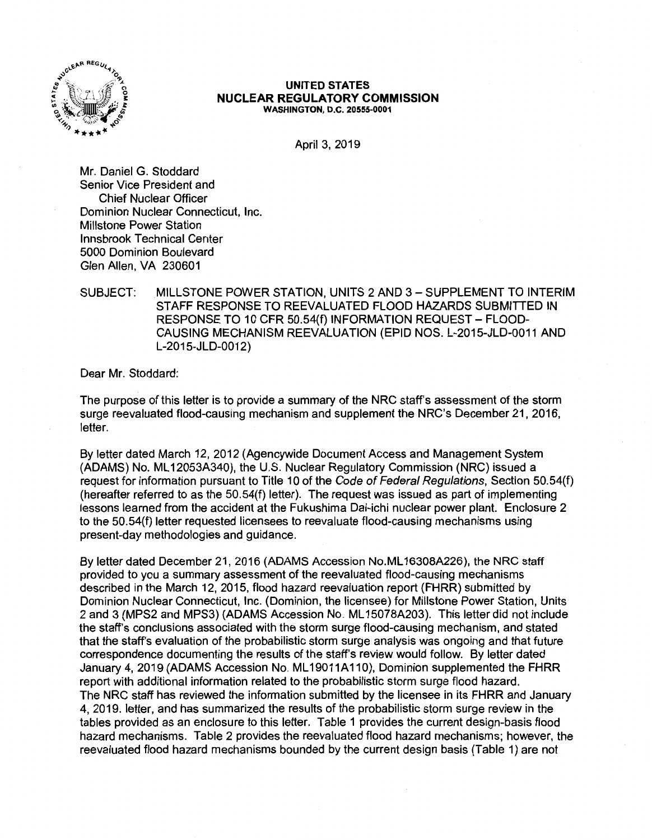

#### **UNITED STATES NUCLEAR REGULATORY COMMISSION WASHINGTON, D.C. 20555-0001**

April 3, 2019

Mr. Daniel G. Stoddard Senior Vice President and Chief Nuclear Officer Dominion Nuclear Connecticut, Inc. Millstone Power Station Innsbrook Technical Center 5000 Dominion Boulevard Glen Allen, VA 230601

## SUBJECT: MILLSTONE POWER STATION, UNITS 2 AND 3 - SUPPLEMENT TO INTERIM STAFF RESPONSE TO REEVALUATED FLOOD HAZARDS SUBMITTED IN RESPONSE TO 10 CFR 50.54(f) INFORMATION REQUEST- FLOOD-CAUSING MECHANISM REEVALUATION (EPID NOS. L-2015-JLD-0011 AND L-2015-JLD-0012)

Dear Mr. Stoddard:

The purpose of this letter is to provide a summary of the NRC staff's assessment of the storm surge reevaluated flood-causing mechanism and supplement the NRC's December 21, 2016, letter.

By letter dated March 12, 2012 (Agencywide Document Access and Management System (ADAMS) No. ML 12053A340), the U.S. Nuclear Regulatory Commission (NRC) issued a request for information pursuant to Title 10 of the Code of Federal Regulations, Section 50.54(f) (hereafter referred to as the 50.54{f) letter). The request was issued as part of implementing lessons learned from the accident at the Fukushima Dai-ichi nuclear power plant. Enclosure 2 to the 50.54(f) letter requested licensees to reevaluate flood-causing mechanisms using present-day methodologies and guidance.

By letter dated December 21, 2016 (ADAMS Accession No.ML 16308A226), the NRC staff provided to you a summary assessment of the reevaluated flood-causing mechanisms described in the March 12, 2015, flood hazard reevaluation report (FHRR) submitted by Dominion Nuclear Connecticut, Inc. (Dominion, the licensee) for Millstone Power Station, Units 2 and 3 (MPS2 and MPS3) (ADAMS Accession No. ML 15078A203). This letter did not include the staff's conclusions associated with the storm surge flood-causing mechanism, and stated that the staff's evaluation of the probabilistic storm surge analysis was ongoing and that future correspondence documenting the results of the staff's review would follow. By letter dated January 4, 2019 (ADAMS Accession No. ML 19011A110), Dominion supplemented the FHRR report with additional information related to the probabilistic storm surge flood hazard. The NRC staff has reviewed the information submitted by the licensee in its FHRR and January 4, 2019. letter, and has summarized the results of the probabilistic storm surge review in the tables provided as an enclosure to this letter. Table 1 provides the current design-basis flood hazard mechanisms. Table 2 provides the reevaluated flood hazard mechanisms; however, the reevaluated flood hazard mechanisms bounded by the current design basis {Table 1) are not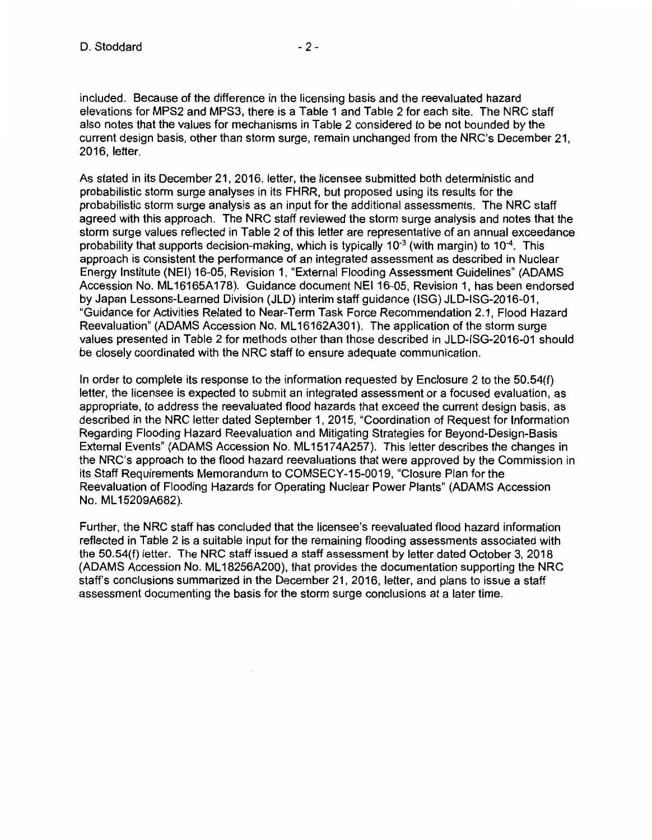included. Because of the difference in the licensing basis and the reevaluated hazard elevations for MPS2 and MPS3, there is a Table 1 and Table 2 for each site. The NRC staff also notes that the values for mechanisms in Table 2 considered to be not bounded by the current design basis, other than storm surge, remain unchanged from the NRC's December 21, 2016, letter.

As stated in its December 21, 2016, letter, the licensee submitted both deterministic and probabilistic storm surge analyses in its FHRR, but proposed using its results for the probabilistic storm surge analysis as an input for the additional assessments. The NRC staff agreed with this approach. The NRC staff reviewed the storm surge analysis and notes that the storm surge values reflected in Table 2 of this letter are representative of an annual exceedance probability that supports decision-making, which is typically  $10^{-3}$  (with margin) to  $10^{-4}$ . This approach is consistent the performance of an integrated assessment as described in Nuclear Energy Institute (NEI) 16-05, Revision 1, "External Flooding Assessment Guidelines" (ADAMS Accession No. ML 16165A 178). Guidance document NEI 16-05, Revision 1, has been endorsed by Japan Lessons-Learned Division (JLD) interim staff guidance (ISG) JLD-ISG-2016-01, "Guidance for Activities Related to Near-Term Task Force Recommendation 2.1, Flood Hazard Reevaluation" (ADAMS Accession No. ML16162A301). The application of the storm surge values presented in Table 2 for methods other than those described in JLD-ISG-2016-01 should be closely coordinated with the NRC staff to ensure adequate communication.

In order to complete its response to the information requested by Enclosure 2 to the 50.54(f) letter, the licensee is expected to submit an integrated assessment or a focused evaluation, as appropriate, to address the reevaluated flood hazards that exceed the current design basis, as described in the NRC letter dated September 1, 2015, "Coordination of Request for Information Regarding Flooding Hazard Reevaluation and Mitigating Strategies for Beyond-Design-Basis External Events" (ADAMS Accession No. ML 15174A257). This letter describes the changes in the NRC's approach to the flood hazard reevaluations that were approved by the Commission in its Staff Requirements Memorandum to COMSECY-15-0019, "Closure Plan for the Reevaluation of Flooding Hazards for Operating Nuclear Power Plants" (ADAMS Accession No. ML 15209A682).

Further, the NRC staff has concluded that the licensee's reevaluated flood hazard information reflected in Table 2 is a suitable input for the remaining flooding assessments associated with the 50.54(f) letter. The NRC staff issued a staff assessment by letter dated October 3, 2018 (ADAMS Accession No. ML 18256A200), that provides the documentation supporting the NRC staff's conclusions summarized in the December 21, 2016, letter, and plans to issue a staff assessment documenting the basis for the storm surge conclusions at a later time.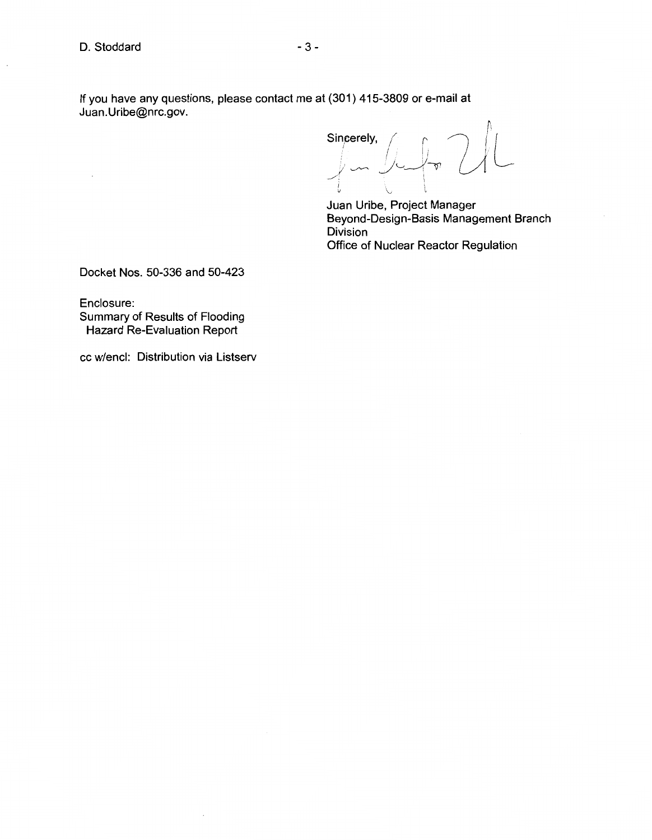D. Stoddard - 3 -

 $\overline{\phantom{a}}$ 

If you have any questions, please contact me at (301) 415-3809 or e-mail at

Juan.Uribe@nrc.gov.

~I Sincerely, <sup>I</sup>I / <sup>I</sup>  $=$  $\frac{1}{2}$   $\frac{1}{2}$   $\frac{1}{2}$   $\frac{1}{2}$   $\frac{1}{2}$  $\cup$   $\cup$ 

Juan Uribe, Project Manager Beyond-Design-Basis Management Branch Division Office of Nuclear Reactor Regulation

Docket Nos. 50-336 and 50-423

Enclosure: Summary of Results of Flooding Hazard Re-Evaluation Report

cc w/encl: Distribution via Listserv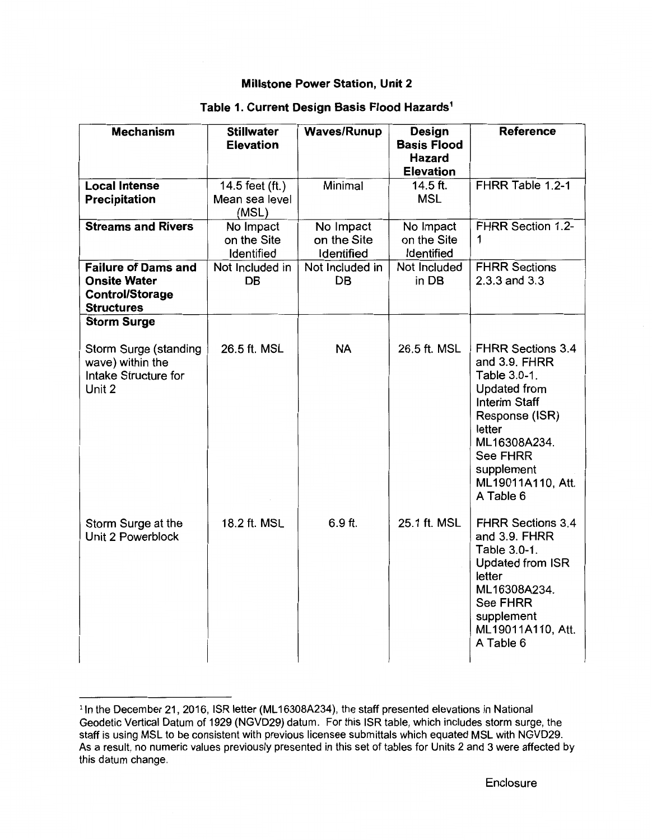| <b>Mechanism</b>                                                                                  | <b>Stillwater</b><br><b>Elevation</b>      | <b>Waves/Runup</b>                     | <b>Design</b><br><b>Basis Flood</b><br><b>Hazard</b><br><b>Elevation</b> | <b>Reference</b>                                                                                                                                                                                                        |
|---------------------------------------------------------------------------------------------------|--------------------------------------------|----------------------------------------|--------------------------------------------------------------------------|-------------------------------------------------------------------------------------------------------------------------------------------------------------------------------------------------------------------------|
| <b>Local Intense</b><br><b>Precipitation</b>                                                      | 14.5 feet (ft.)<br>Mean sea level<br>(MSL) | Minimal                                | 14.5 ft.<br><b>MSL</b>                                                   | FHRR Table 1.2-1                                                                                                                                                                                                        |
| <b>Streams and Rivers</b>                                                                         | No Impact<br>on the Site<br>Identified     | No Impact<br>on the Site<br>Identified | No Impact<br>on the Site<br>Identified                                   | FHRR Section 1.2-<br>1                                                                                                                                                                                                  |
| <b>Failure of Dams and</b><br><b>Onsite Water</b><br><b>Control/Storage</b><br><b>Structures</b>  | Not Included in<br><b>DB</b>               | Not Included in<br><b>DB</b>           | Not Included<br>in DB                                                    | <b>FHRR Sections</b><br>2.3.3 and 3.3                                                                                                                                                                                   |
| <b>Storm Surge</b><br>Storm Surge (standing<br>wave) within the<br>Intake Structure for<br>Unit 2 | 26.5 ft. MSL                               | <b>NA</b>                              | 26.5 ft. MSL                                                             | <b>FHRR Sections 3.4</b><br>and 3.9. FHRR<br>Table 3.0-1.<br><b>Updated from</b><br><b>Interim Staff</b><br>Response (ISR)<br>letter<br>ML16308A234.<br><b>See FHRR</b><br>supplement<br>ML19011A110, Att.<br>A Table 6 |
| Storm Surge at the<br>Unit 2 Powerblock                                                           | 18.2 ft. MSL                               | $6.9$ ft.                              | 25.1 ft. MSL                                                             | <b>FHRR Sections 3.4</b><br>and 3.9. FHRR<br>Table 3.0-1.<br><b>Updated from ISR</b><br>letter<br>ML16308A234.<br><b>See FHRR</b><br>supplement<br>ML19011A110, Att.<br>A Table 6                                       |

# **Table 1. Current Design Basis Flood Hazards1**

<sup>&</sup>lt;sup>1</sup> In the December 21, 2016, ISR letter (ML16308A234), the staff presented elevations in National Geodetic Vertical Datum of 1929 (NGVD29) datum. For this ISR table, which includes storm surge, the staff is using MSL to be consistent with previous licensee submittals which equated MSL with NGVD29. As a result, no numeric values previously presented in this set of tables for Units 2 and 3 were affected by this datum change.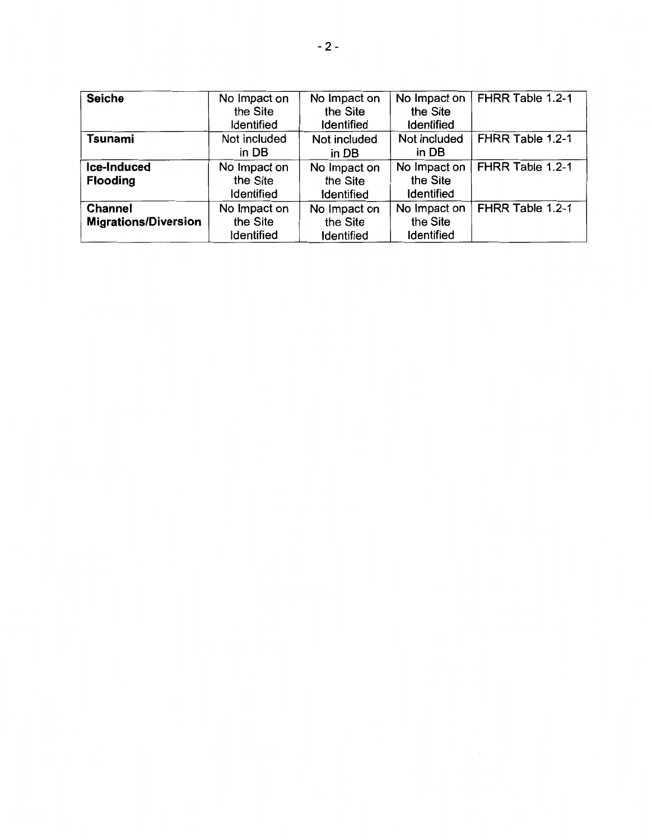| <b>Seiche</b>               | No Impact on      | No Impact on      | No Impact on      | FHRR Table 1.2-1 |
|-----------------------------|-------------------|-------------------|-------------------|------------------|
|                             | the Site          | the Site          | the Site          |                  |
|                             | Identified        | <b>Identified</b> | <b>Identified</b> |                  |
| <b>Tsunami</b>              | Not included      | Not included      | Not included      | FHRR Table 1.2-1 |
|                             | in DB             | in DB             | in DB             |                  |
| Ice-Induced                 | No Impact on      | No Impact on      | No Impact on      | FHRR Table 1.2-1 |
| <b>Flooding</b>             | the Site          | the Site          | the Site          |                  |
|                             | Identified        | Identified        | <b>Identified</b> |                  |
| <b>Channel</b>              | No Impact on      | No Impact on      | No Impact on      | FHRR Table 1.2-1 |
| <b>Migrations/Diversion</b> | the Site          | the Site          | the Site          |                  |
|                             | <b>Identified</b> | <b>Identified</b> | <b>Identified</b> |                  |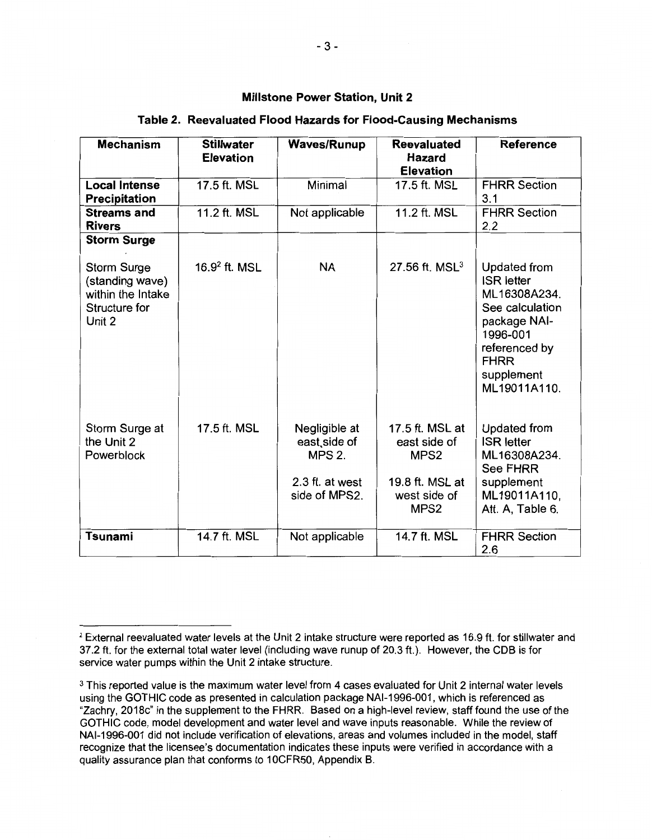## **Table 2. Reevaluated Flood Hazards for Flood-Causing Mechanisms**

| <b>Mechanism</b>                                                                      | <b>Stillwater</b><br><b>Elevation</b> | <b>Waves/Runup</b>                                                                 | <b>Reevaluated</b><br>Hazard<br><b>Elevation</b>                                                           | <b>Reference</b>                                                                                                                                               |
|---------------------------------------------------------------------------------------|---------------------------------------|------------------------------------------------------------------------------------|------------------------------------------------------------------------------------------------------------|----------------------------------------------------------------------------------------------------------------------------------------------------------------|
| <b>Local Intense</b><br><b>Precipitation</b>                                          | 17.5 ft. MSL                          | Minimal                                                                            | 17.5 ft. MSL                                                                                               | <b>FHRR Section</b><br>3.1                                                                                                                                     |
| <b>Streams and</b><br><b>Rivers</b>                                                   | 11.2 ft. MSL                          | Not applicable                                                                     | 11.2 ft. MSL                                                                                               | <b>FHRR Section</b><br>2.2                                                                                                                                     |
| <b>Storm Surge</b>                                                                    |                                       |                                                                                    |                                                                                                            |                                                                                                                                                                |
| <b>Storm Surge</b><br>(standing wave)<br>within the Intake<br>Structure for<br>Unit 2 | $16.92$ ft. MSL                       | <b>NA</b>                                                                          | 27.56 ft. MSL $3$                                                                                          | Updated from<br><b>ISR</b> letter<br>ML16308A234.<br>See calculation<br>package NAI-<br>1996-001<br>referenced by<br><b>FHRR</b><br>supplement<br>ML19011A110. |
| Storm Surge at<br>the Unit 2<br>Powerblock                                            | 17.5 ft. MSL                          | Negligible at<br>east side of<br><b>MPS 2.</b><br>2.3 ft. at west<br>side of MPS2. | 17.5 ft. MSL at<br>east side of<br>MPS <sub>2</sub><br>19.8 ft. MSL at<br>west side of<br>MPS <sub>2</sub> | <b>Updated from</b><br><b>ISR</b> letter<br>ML16308A234.<br><b>See FHRR</b><br>supplement<br>ML19011A110,<br>Att. A, Table 6.                                  |
| Tsunami                                                                               | 14.7 ft. MSL                          | Not applicable                                                                     | 14.7 ft. MSL                                                                                               | <b>FHRR Section</b><br>2.6                                                                                                                                     |

<sup>&</sup>lt;sup>2</sup> External reevaluated water levels at the Unit 2 intake structure were reported as 16.9 ft. for stillwater and 37.2 ft. for the external total water level (including wave runup of 20.3 ft.). However, the COB is for service water pumps within the Unit 2 intake structure.

<sup>&</sup>lt;sup>3</sup> This reported value is the maximum water level from 4 cases evaluated for Unit 2 internal water levels using the GOTHIC code as presented in calculation package NAl-1996-001, which is referenced as "Zachry, 2018c" in the supplement to the FHRR. Based on a high-level review, staff found the use of the GOTHIC code, model development and water level and wave inputs reasonable. While the review of NAl-1996-001 did not include verification of elevations, areas and volumes included in the model, staff recognize that the licensee's documentation indicates these inputs were verified in accordance with a quality assurance plan that conforms to 10CFR50, Appendix B.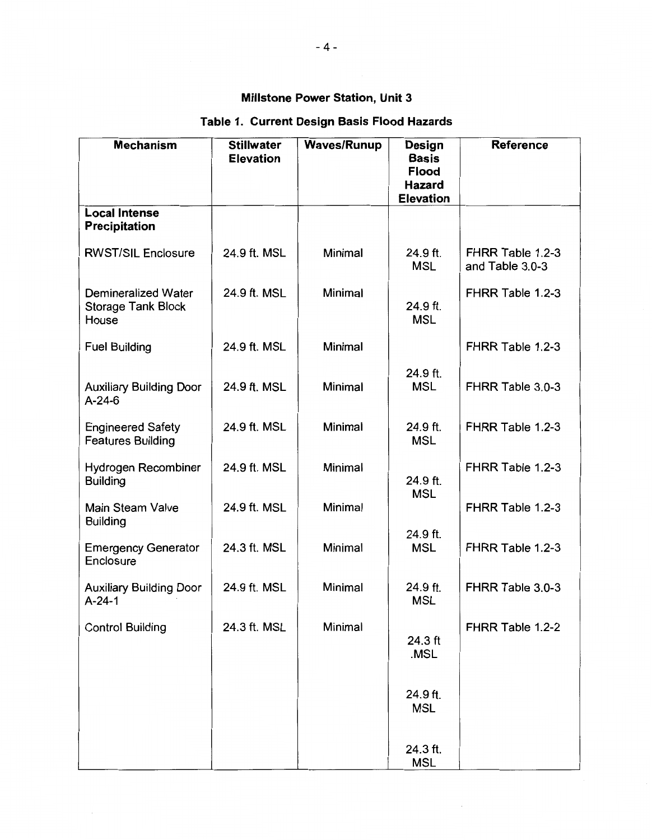# **Table 1. Current Design Basis Flood Hazards**

| <b>Mechanism</b>                                                 | <b>Stillwater</b><br><b>Elevation</b> | <b>Waves/Runup</b> | Design<br><b>Basis</b><br><b>Flood</b><br>Hazard<br><b>Elevation</b> | <b>Reference</b>                    |
|------------------------------------------------------------------|---------------------------------------|--------------------|----------------------------------------------------------------------|-------------------------------------|
| <b>Local Intense</b><br><b>Precipitation</b>                     |                                       |                    |                                                                      |                                     |
| <b>RWST/SIL Enclosure</b>                                        | 24.9 ft. MSL                          | Minimal            | 24.9 ft.<br><b>MSL</b>                                               | FHRR Table 1.2-3<br>and Table 3.0-3 |
| <b>Demineralized Water</b><br><b>Storage Tank Block</b><br>House | 24.9 ft. MSL                          | Minimal            | 24.9 ft.<br><b>MSL</b>                                               | FHRR Table 1.2-3                    |
| <b>Fuel Building</b>                                             | 24.9 ft. MSL                          | Minimal            |                                                                      | FHRR Table 1.2-3                    |
| <b>Auxiliary Building Door</b><br>$A-24-6$                       | 24.9 ft. MSL                          | Minimal            | 24.9 ft.<br><b>MSL</b>                                               | FHRR Table 3.0-3                    |
| <b>Engineered Safety</b><br><b>Features Building</b>             | 24.9 ft. MSL                          | Minimal            | 24.9 ft.<br><b>MSL</b>                                               | FHRR Table 1.2-3                    |
| Hydrogen Recombiner<br><b>Building</b>                           | 24.9 ft. MSL                          | Minimal            | 24.9 ft.<br><b>MSL</b>                                               | FHRR Table 1.2-3                    |
| <b>Main Steam Valve</b><br><b>Building</b>                       | 24.9 ft. MSL                          | Minimal            |                                                                      | FHRR Table 1.2-3                    |
| <b>Emergency Generator</b><br>Enclosure                          | 24.3 ft. MSL                          | Minimal            | 24.9 ft.<br><b>MSL</b>                                               | FHRR Table 1.2-3                    |
| <b>Auxiliary Building Door</b><br>$A - 24 - 1$                   | 24.9 ft. MSL                          | <b>Minimal</b>     | 24.9 ft.<br><b>MSL</b>                                               | FHRR Table 3.0-3                    |
| <b>Control Building</b>                                          | 24.3 ft. MSL                          | Minimal            | 24.3 ft<br>.MSL                                                      | FHRR Table 1.2-2                    |
|                                                                  |                                       |                    | 24.9 ft.<br><b>MSL</b>                                               |                                     |
|                                                                  |                                       |                    | 24.3 ft.<br><b>MSL</b>                                               |                                     |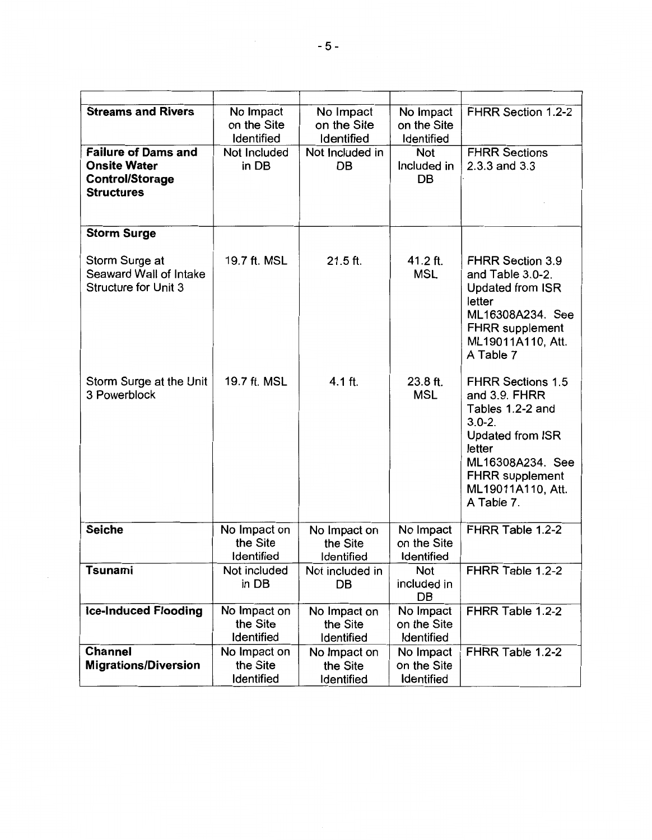| <b>Streams and Rivers</b>                                                                        | No Impact<br>on the Site<br>Identified | No Impact<br>on the Site<br>Identified | No Impact<br>on the Site<br>Identified | FHRR Section 1.2-2                                                                                                                                                                                |
|--------------------------------------------------------------------------------------------------|----------------------------------------|----------------------------------------|----------------------------------------|---------------------------------------------------------------------------------------------------------------------------------------------------------------------------------------------------|
| <b>Failure of Dams and</b><br><b>Onsite Water</b><br><b>Control/Storage</b><br><b>Structures</b> | Not Included<br>in DB                  | Not Included in<br><b>DB</b>           | <b>Not</b><br>Included in<br><b>DB</b> | <b>FHRR Sections</b><br>2.3.3 and 3.3                                                                                                                                                             |
| <b>Storm Surge</b>                                                                               |                                        |                                        |                                        |                                                                                                                                                                                                   |
| Storm Surge at<br>Seaward Wall of Intake<br><b>Structure for Unit 3</b>                          | 19.7 ft. MSL                           | $21.5$ ft.                             | 41.2 ft.<br><b>MSL</b>                 | <b>FHRR Section 3.9</b><br>and Table 3.0-2.<br>Updated from ISR<br>letter<br>ML16308A234. See<br><b>FHRR</b> supplement<br>ML19011A110, Att.<br>A Table 7                                         |
| Storm Surge at the Unit<br>3 Powerblock                                                          | 19.7 ft. MSL                           | 4.1 ft.                                | 23.8 ft.<br><b>MSL</b>                 | <b>FHRR Sections 1.5</b><br>and 3.9. FHRR<br>Tables 1.2-2 and<br>$3.0 - 2.$<br><b>Updated from ISR</b><br>letter<br>ML16308A234. See<br><b>FHRR supplement</b><br>ML19011A110, Att.<br>A Table 7. |
| <b>Seiche</b>                                                                                    | No Impact on<br>the Site<br>Identified | No Impact on<br>the Site<br>Identified | No Impact<br>on the Site<br>Identified | FHRR Table 1.2-2                                                                                                                                                                                  |
| Tsunami                                                                                          | Not included<br>in DB                  | Not included in<br>DB                  | Not<br>included in<br>DB               | FHRR Table 1.2-2                                                                                                                                                                                  |
| <b>Ice-Induced Flooding</b>                                                                      | No Impact on<br>the Site<br>Identified | No Impact on<br>the Site<br>Identified | No Impact<br>on the Site<br>Identified | FHRR Table 1.2-2                                                                                                                                                                                  |
| <b>Channel</b><br><b>Migrations/Diversion</b>                                                    | No Impact on<br>the Site<br>Identified | No Impact on<br>the Site<br>Identified | No Impact<br>on the Site<br>Identified | FHRR Table 1.2-2                                                                                                                                                                                  |

 $\frac{1}{2}$  .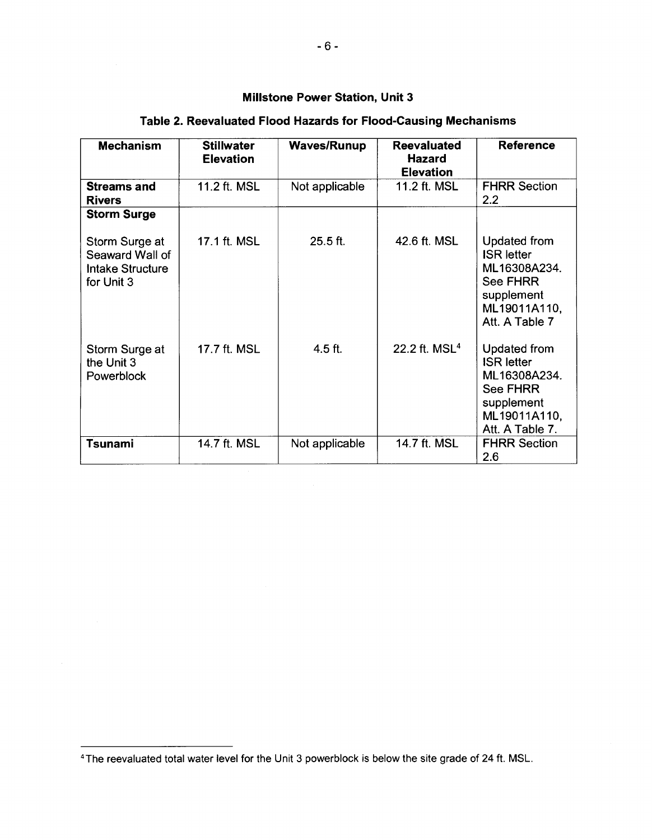| <b>Mechanism</b>                                                    | <b>Stillwater</b><br><b>Elevation</b> | <b>Waves/Runup</b> | <b>Reevaluated</b><br>Hazard<br><b>Elevation</b> | <b>Reference</b>                                                                                                      |
|---------------------------------------------------------------------|---------------------------------------|--------------------|--------------------------------------------------|-----------------------------------------------------------------------------------------------------------------------|
| <b>Streams and</b><br><b>Rivers</b>                                 | 11.2 ft. MSL                          | Not applicable     | 11.2 ft. MSL                                     | <b>FHRR Section</b><br>2.2                                                                                            |
| <b>Storm Surge</b>                                                  |                                       |                    |                                                  |                                                                                                                       |
| Storm Surge at<br>Seaward Wall of<br>Intake Structure<br>for Unit 3 | 17.1 ft. MSL                          | $25.5$ ft.         | 42.6 ft. MSL                                     | <b>Updated from</b><br><b>ISR</b> letter<br>ML16308A234.<br>See FHRR<br>supplement<br>ML19011A110,<br>Att. A Table 7  |
| Storm Surge at<br>the Unit 3<br>Powerblock                          | 17.7 ft. MSL                          | $4.5$ ft.          | 22.2 ft. MSL <sup>4</sup>                        | Updated from<br><b>ISR letter</b><br>ML16308A234.<br><b>See FHRR</b><br>supplement<br>ML19011A110,<br>Att. A Table 7. |
| Tsunami                                                             | 14.7 ft. MSL                          | Not applicable     | 14.7 ft. MSL                                     | <b>FHRR Section</b><br>2.6                                                                                            |

# **Table 2. Reevaluated Flood Hazards for Flood-Causing Mechanisms**

<sup>4</sup>The reevaluated total water level for the Unit 3 powerblock is below the site grade of 24 ft. MSL.